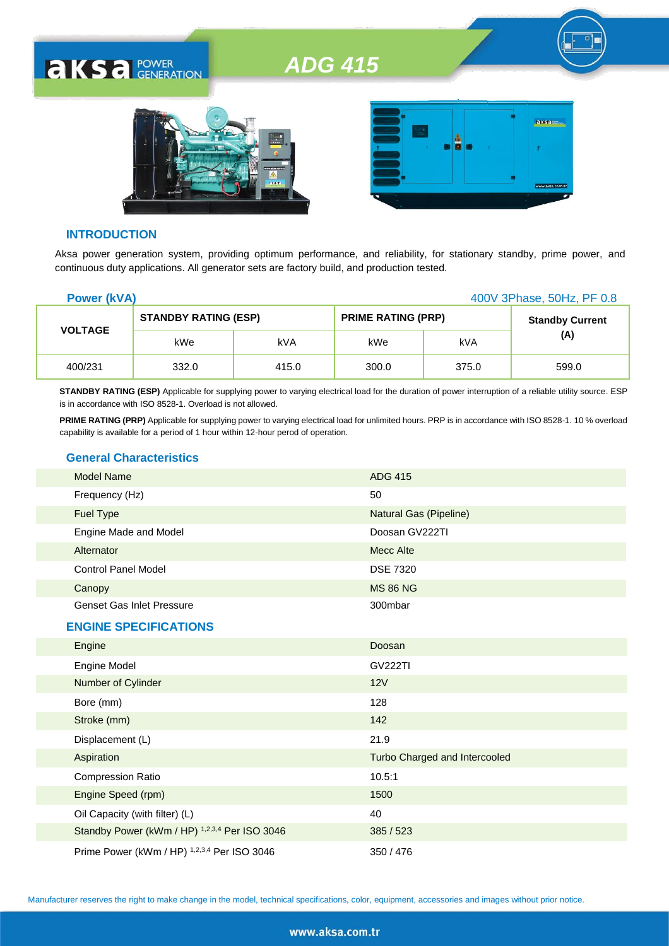



#### **INTRODUCTION**

**AKSA POWER** 

Aksa power generation system, providing optimum performance, and reliability, for stationary standby, prime power, and continuous duty applications. All generator sets are factory build, and production tested.

| <b>Power (kVA)</b> |                             |       | 400V 3Phase, 50Hz, PF 0.8 |       |                        |
|--------------------|-----------------------------|-------|---------------------------|-------|------------------------|
| <b>VOLTAGE</b>     | <b>STANDBY RATING (ESP)</b> |       | <b>PRIME RATING (PRP)</b> |       | <b>Standby Current</b> |
|                    | kWe                         | kVA   | kWe                       | kVA   | (A)                    |
| 400/231            | 332.0                       | 415.0 | 300.0                     | 375.0 | 599.0                  |

**STANDBY RATING (ESP)** Applicable for supplying power to varying electrical load for the duration of power interruption of a reliable utility source. ESP is in accordance with ISO 8528-1. Overload is not allowed.

**PRIME RATING (PRP)** Applicable for supplying power to varying electrical load for unlimited hours. PRP is in accordance with ISO 8528-1. 10 % overload capability is available for a period of 1 hour within 12-hour perod of operation.

#### **General Characteristics**

| Model Name                       | <b>ADG 415</b>         |
|----------------------------------|------------------------|
| Frequency (Hz)                   | 50                     |
| <b>Fuel Type</b>                 | Natural Gas (Pipeline) |
| Engine Made and Model            | Doosan GV222TI         |
| Alternator                       | Mecc Alte              |
| <b>Control Panel Model</b>       | <b>DSE 7320</b>        |
| Canopy                           | <b>MS 86 NG</b>        |
| <b>Genset Gas Inlet Pressure</b> | 300mbar                |
| <b>ENGINE SPECIFICATIONS</b>     |                        |
| Engine                           | Doosan                 |
| <b>Engine Model</b>              | <b>GV222TI</b>         |

| Engine Model                                  | <b>GV222TI</b>                |
|-----------------------------------------------|-------------------------------|
| Number of Cylinder                            | 12V                           |
| Bore (mm)                                     | 128                           |
| Stroke (mm)                                   | 142                           |
| Displacement (L)                              | 21.9                          |
| Aspiration                                    | Turbo Charged and Intercooled |
| <b>Compression Ratio</b>                      | 10.5:1                        |
| Engine Speed (rpm)                            | 1500                          |
| Oil Capacity (with filter) (L)                | 40                            |
| Standby Power (kWm / HP) 1,2,3,4 Per ISO 3046 | 385/523                       |
| Prime Power (kWm / HP) 1,2,3,4 Per ISO 3046   | 350/476                       |

Manufacturer reserves the right to make change in the model, technical specifications, color, equipment, accessories and images without prior notice.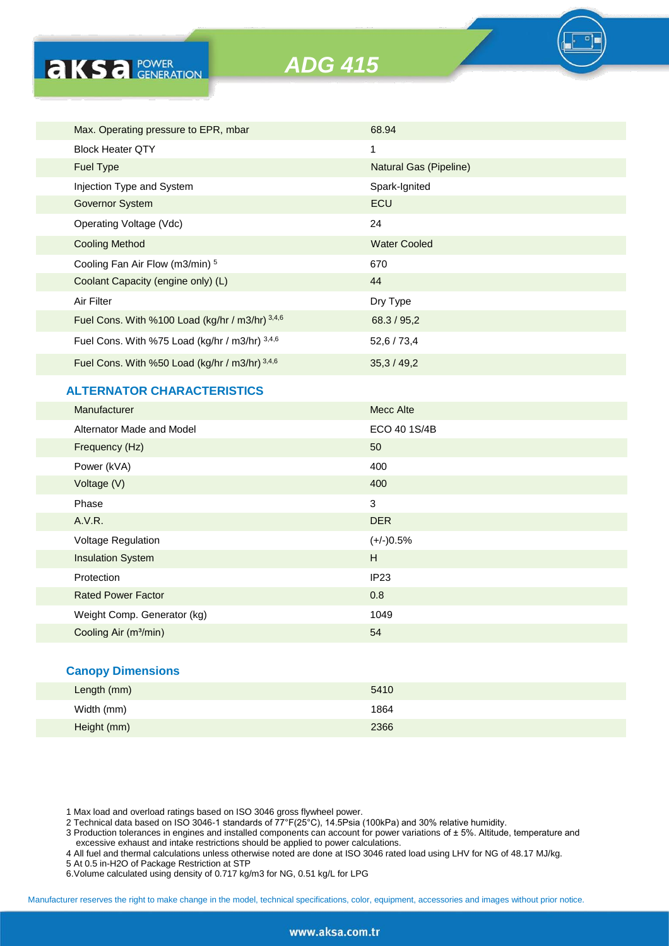

| Max. Operating pressure to EPR, mbar            | 68.94                  |
|-------------------------------------------------|------------------------|
| <b>Block Heater OTY</b>                         | 1                      |
| <b>Fuel Type</b>                                | Natural Gas (Pipeline) |
| Injection Type and System                       | Spark-Ignited          |
| Governor System                                 | ECU                    |
| Operating Voltage (Vdc)                         | 24                     |
| <b>Cooling Method</b>                           | <b>Water Cooled</b>    |
| Cooling Fan Air Flow (m3/min) <sup>5</sup>      | 670                    |
| Coolant Capacity (engine only) (L)              | 44                     |
| Air Filter                                      | Dry Type               |
| Fuel Cons. With %100 Load (kg/hr / m3/hr) 3,4,6 | 68.3 / 95,2            |
| Fuel Cons. With %75 Load (kg/hr / m3/hr) 3,4,6  | 52,6 / 73,4            |
| Fuel Cons. With %50 Load (kg/hr / m3/hr) 3,4,6  | 35,3/49,2              |

### **ALTERNATOR CHARACTERISTICS**

**AKS** *B CENERATION* 

| Manufacturer                      | Mecc Alte        |
|-----------------------------------|------------------|
| Alternator Made and Model         | ECO 40 1S/4B     |
| Frequency (Hz)                    | 50               |
| Power (kVA)                       | 400              |
| Voltage (V)                       | 400              |
| Phase                             | $\mathbf{3}$     |
| A.V.R.                            | <b>DER</b>       |
| Voltage Regulation                | $(+/-)0.5%$      |
| <b>Insulation System</b>          | H                |
| Protection                        | IP <sub>23</sub> |
| <b>Rated Power Factor</b>         | 0.8              |
| Weight Comp. Generator (kg)       | 1049             |
| Cooling Air (m <sup>3</sup> /min) | 54               |

#### **Canopy Dimensions**

| Length (mm) | 5410 |  |
|-------------|------|--|
| Width (mm)  | 1864 |  |
| Height (mm) | 2366 |  |

1 Max load and overload ratings based on ISO 3046 gross flywheel power.

2 Technical data based on ISO 3046-1 standards of 77°F(25°C), 14.5Psia (100kPa) and 30% relative humidity.

3 Production tolerances in engines and installed components can account for power variations of ± 5%. Altitude, temperature and excessive exhaust and intake restrictions should be applied to power calculations.

4 All fuel and thermal calculations unless otherwise noted are done at ISO 3046 rated load using LHV for NG of 48.17 MJ/kg.

- 5 At 0.5 in-H2O of Package Restriction at STP
- 6.Volume calculated using density of 0.717 kg/m3 for NG, 0.51 kg/L for LPG

Manufacturer reserves the right to make change in the model, technical specifications, color, equipment, accessories and images without prior notice.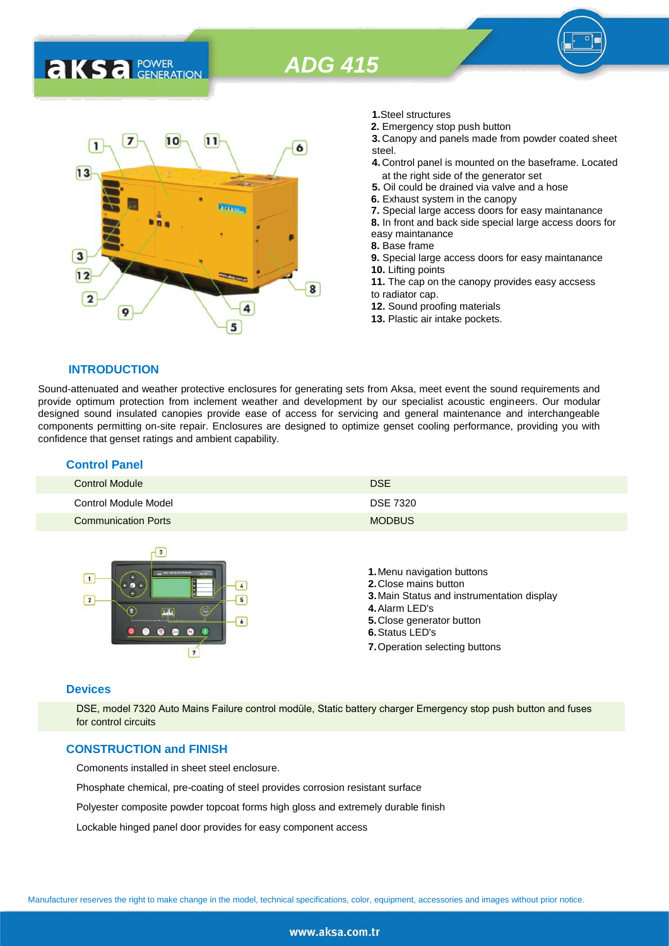



- **1.**Steel structures
- **2.** Emergency stop push button
- **3.** Canopy and panels made from powder coated sheet steel.
- **4.** Control panel is mounted on the baseframe. Located at the right side of the generator set
- **5.** Oil could be drained via valve and a hose
- **6.** Exhaust system in the canopy
- **7.** Special large access doors for easy maintanance
- **8.** In front and back side special large access doors for
- easy maintanance
- **8.** Base frame
- **9.** Special large access doors for easy maintanance **10.** Lifting points
- **11.** The cap on the canopy provides easy accsess to radiator cap.
- **12.** Sound proofing materials
- **13.** Plastic air intake pockets.

#### **INTRODUCTION**

Sound-attenuated and weather protective enclosures for generating sets from Aksa, meet event the sound requirements and provide optimum protection from inclement weather and development by our specialist acoustic engineers. Our modular designed sound insulated canopies provide ease of access for servicing and general maintenance and interchangeable components permitting on-site repair. Enclosures are designed to optimize genset cooling performance, providing you with confidence that genset ratings and ambient capability.

### **Control Panel**

| Control Module             | <b>DSE</b>      |
|----------------------------|-----------------|
| Control Module Model       | <b>DSE 7320</b> |
| <b>Communication Ports</b> | <b>MODBUS</b>   |



#### **Devices**

DSE, model 7320 Auto Mains Failure control modüle, Static battery charger Emergency stop push button and fuses for control circuits

#### **CONSTRUCTION and FINISH**

Comonents installed in sheet steel enclosure.

Phosphate chemical, pre-coating of steel provides corrosion resistant surface

Polyester composite powder topcoat forms high gloss and extremely durable finish

Lockable hinged panel door provides for easy component access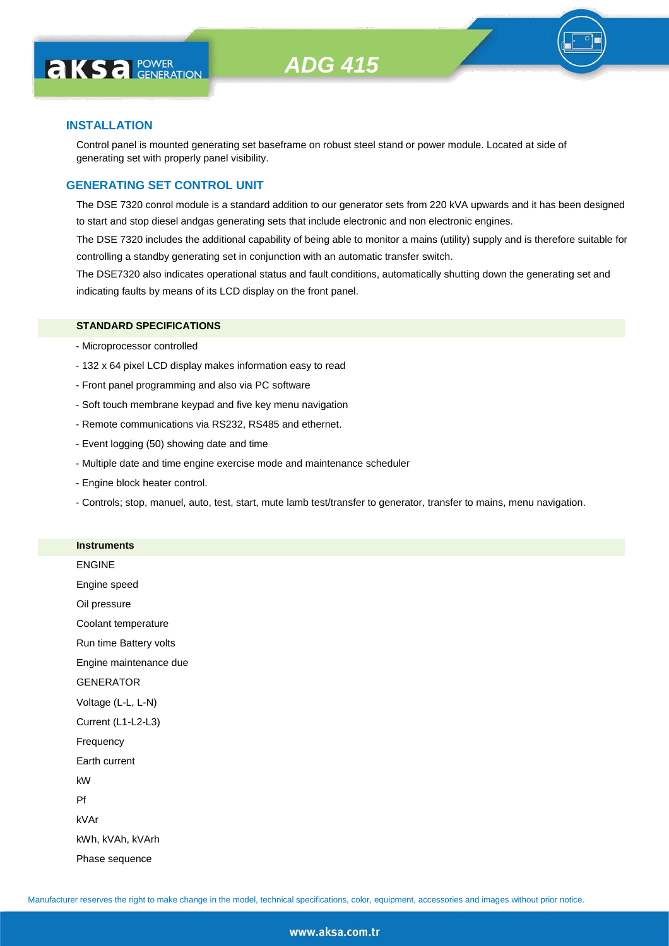

#### **INSTALLATION**

Control panel is mounted generating set baseframe on robust steel stand or power module. Located at side of generating set with properly panel visibility.

#### **GENERATING SET CONTROL UNIT**

The DSE 7320 conrol module is a standard addition to our generator sets from 220 kVA upwards and it has been designed to start and stop diesel andgas generating sets that include electronic and non electronic engines.

The DSE 7320 includes the additional capability of being able to monitor a mains (utility) supply and is therefore suitable for controlling a standby generating set in conjunction with an automatic transfer switch.

The DSE7320 also indicates operational status and fault conditions, automatically shutting down the generating set and indicating faults by means of its LCD display on the front panel.

#### **STANDARD SPECIFICATIONS**

- Microprocessor controlled
- 132 x 64 pixel LCD display makes information easy to read
- Front panel programming and also via PC software
- Soft touch membrane keypad and five key menu navigation
- Remote communications via RS232, RS485 and ethernet.
- Event logging (50) showing date and time
- Multiple date and time engine exercise mode and maintenance scheduler
- Engine block heater control.

**Instruments**

- Controls; stop, manuel, auto, test, start, mute lamb test/transfer to generator, transfer to mains, menu navigation.

| <b>ENGINE</b>          |
|------------------------|
| Engine speed           |
| Oil pressure           |
| Coolant temperature    |
| Run time Battery volts |
| Engine maintenance due |
| <b>GENERATOR</b>       |
| Voltage (L-L, L-N)     |
| Current (L1-L2-L3)     |
| Frequency              |
| Earth current          |
| kW                     |
| Pf                     |
| kVAr                   |
| kWh, kVAh, kVArh       |
| Phase sequence         |
|                        |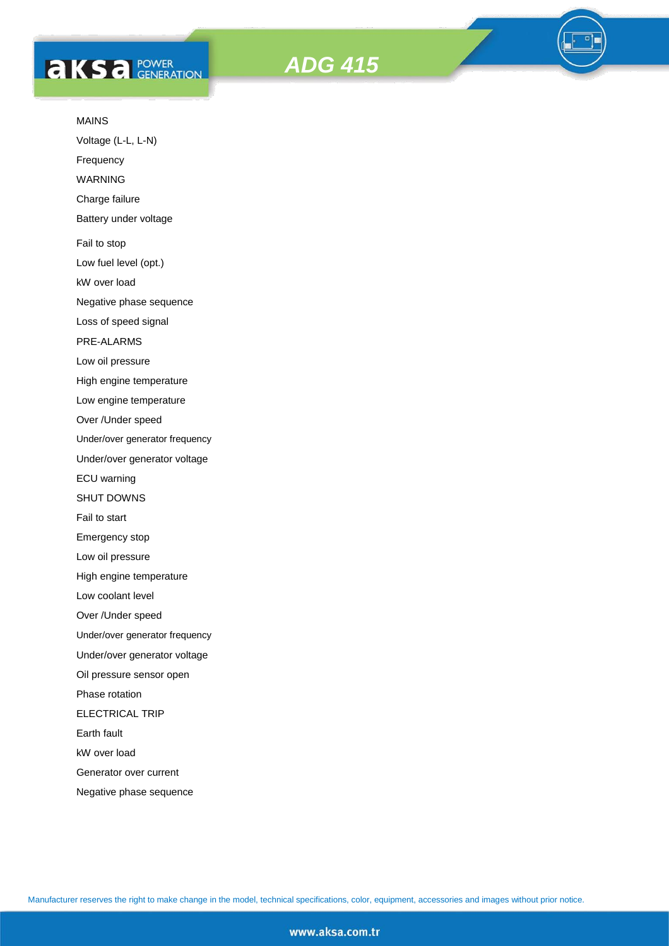# **AKS** *C ROWER*





#### MAINS

Voltage (L-L, L-N)

Frequency

WARNING

Charge failure

Battery under voltage

Fail to stop

Low fuel level (opt.)

kW over load

Negative phase sequence

Loss of speed signal

PRE-ALARMS

Low oil pressure

High engine temperature

Low engine temperature

Over /Under speed

Under/over generator frequency

Under/over generator voltage

ECU warning

SHUT DOWNS

Fail to start

Emergency stop

Low oil pressure

High engine temperature

Low coolant level

Over /Under speed

Under/over generator frequency

Under/over generator voltage

Oil pressure sensor open

Phase rotation

ELECTRICAL TRIP

Earth fault

kW over load

Generator over current

Negative phase sequence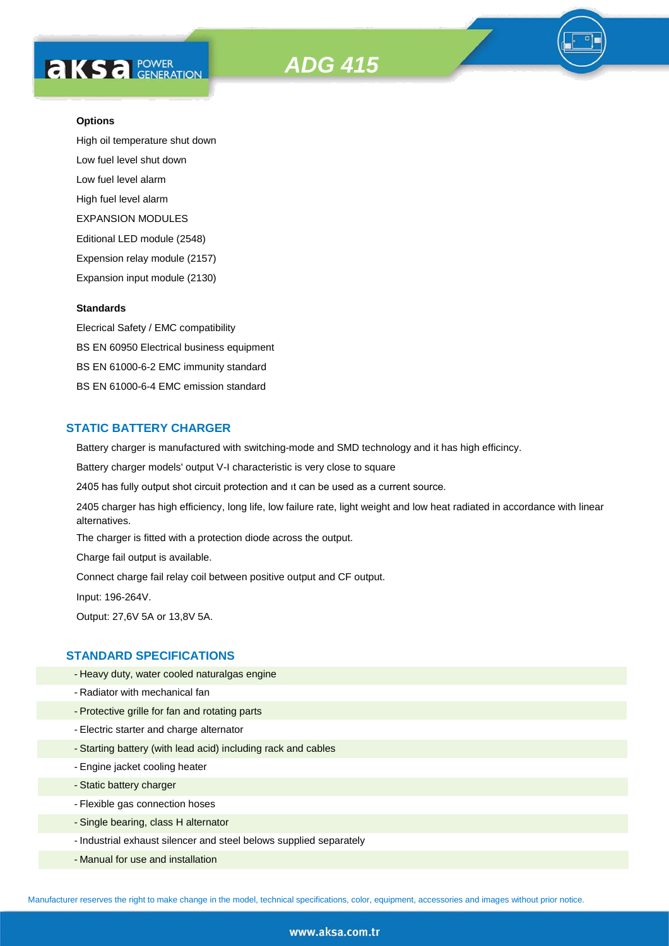

High oil temperature shut down Low fuel level shut down Low fuel level alarm High fuel level alarm EXPANSION MODULES Editional LED module (2548) Expension relay module (2157) Expansion input module (2130)

#### **Standards**

Elecrical Safety / EMC compatibility BS EN 60950 Electrical business equipment BS EN 61000-6-2 EMC immunity standard BS EN 61000-6-4 EMC emission standard

#### **STATIC BATTERY CHARGER**

Battery charger is manufactured with switching-mode and SMD technology and it has high efficincy.

Battery charger models' output V-I characteristic is very close to square

2405 has fully output shot circuit protection and ıt can be used as a current source.

2405 charger has high efficiency, long life, low failure rate, light weight and low heat radiated in accordance with linear alternatives.

The charger is fitted with a protection diode across the output.

Charge fail output is available.

Connect charge fail relay coil between positive output and CF output.

Input: 196-264V.

Output: 27,6V 5A or 13,8V 5A.

#### **STANDARD SPECIFICATIONS**

- Heavy duty, water cooled naturalgas engine
- Radiator with mechanical fan
- Protective grille for fan and rotating parts
- Electric starter and charge alternator
- Starting battery (with lead acid) including rack and cables
- Engine jacket cooling heater
- Static battery charger
- Flexible gas connection hoses
- Single bearing, class H alternator
- Industrial exhaust silencer and steel belows supplied separately
- Manual for use and installation

Manufacturer reserves the right to make change in the model, technical specifications, color, equipment, accessories and images without prior notice.